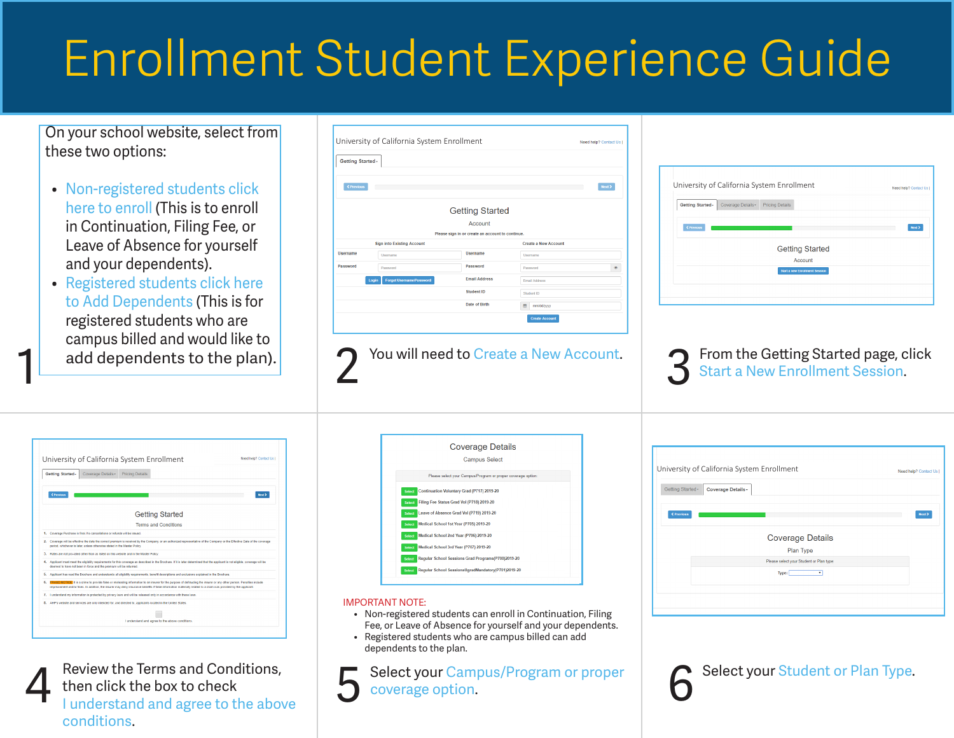## Enrollment Student Experience Guide

On your school website, select from these two options:

- Non-registered students click here to enroll (This is to enroll in Continuation, Filing Fee, or Leave of Absence for yourself and your dependents).
- Registered students click here to Add Dependents (This is for registered students who are campus billed and would like to add dependents to the plan).

1

| <b>Getting Started-</b> |                                          |                                                  |                             |      |
|-------------------------|------------------------------------------|--------------------------------------------------|-----------------------------|------|
|                         |                                          |                                                  |                             |      |
| < Previous              |                                          |                                                  |                             | Next |
|                         |                                          |                                                  |                             |      |
|                         |                                          | <b>Getting Started</b>                           |                             |      |
|                         |                                          | Account                                          |                             |      |
|                         |                                          | Please sign in or create an account to continue. |                             |      |
|                         | <b>Sign into Existing Account</b>        |                                                  | <b>Create a New Account</b> |      |
| <b>Username</b>         | <b>Username</b>                          | <b>Username</b>                                  | <b>Usemame</b>              |      |
| Password                | Password                                 | Password                                         | Password                    | ۰    |
|                         | <b>Forgot Username/Password</b><br>Login | <b>Email Address</b>                             | Email Address               |      |
|                         |                                          | <b>Student ID</b>                                | Student ID                  |      |
|                         |                                          |                                                  |                             |      |

You will need to Create a New Account.

|                                       | University of California System Enrollment | Need help? Contact Us |
|---------------------------------------|--------------------------------------------|-----------------------|
| Coverage Details-<br>Getting Started- | <b>Pricing Details</b>                     |                       |
|                                       |                                            |                       |
| < Previous                            |                                            | Next >                |
|                                       | <b>Getting Started</b>                     |                       |
|                                       | Account                                    |                       |
|                                       | <b>Start a new Enrollment Session</b>      |                       |
|                                       |                                            |                       |

From the Getting Started page, click<br>Start a New Enrollment Session. 3

|    | Getting Started-<br>Coverage Details -<br><b>Pricing Details</b>                                                                                                                                                                                                                                                                           |
|----|--------------------------------------------------------------------------------------------------------------------------------------------------------------------------------------------------------------------------------------------------------------------------------------------------------------------------------------------|
|    | <previous<br>Next &gt;</previous<br>                                                                                                                                                                                                                                                                                                       |
|    | <b>Getting Started</b>                                                                                                                                                                                                                                                                                                                     |
|    | <b>Terms and Conditions</b>                                                                                                                                                                                                                                                                                                                |
|    | 1. Coverage Purchase is final. No cancellations or refunds will be issued.                                                                                                                                                                                                                                                                 |
|    | 2. Coverage vill be effective the date the correct premium is received by the Company, or an authorized representative of the Company or the Effective Date of the coverage<br>period, whichever is later, unless otherwise stated in the Master Policy.                                                                                   |
|    | 3. Rates are not pro-rated other than as listed on this website and in the Master Policy.                                                                                                                                                                                                                                                  |
| 4. | Applicant must meet the eligibility requirements for this coverage as described in the Brochure. If it is later determined that the applicant is not eligible, coverage will be<br>deemed to have not been in force and the premium will be returned.                                                                                      |
| 5. | Applicant has read the Brochure and understands all eligibility requirements, benefit descriptions and exclusions explained in the Brochure.                                                                                                                                                                                               |
| 6. | FRAUD NOTICE: It is a crime to provide false or misleading information to an insurer for the purpose of defrauding the insurer or any other person. Penalties include<br>imprisonment and/or fines. In addition, the insurer may deny insurance benefits if false information materially related to a claim was provided by the applicant. |
|    | 7. I understand my information is protected by privacy laws and will be released only in accordance with these laws.                                                                                                                                                                                                                       |
|    |                                                                                                                                                                                                                                                                                                                                            |
| 8. | AHP's website and services are only intended for, and directed to, applicants located in the United States.                                                                                                                                                                                                                                |

Review the Terms and Conditions, then click the box to check I understand and agree to the above conditions.

|               | <b>Coverage Details</b>                                      |  |
|---------------|--------------------------------------------------------------|--|
|               | <b>Campus Select</b>                                         |  |
|               | Please select your Campus/Program or proper coverage option: |  |
| Select        | Continuation Voluntary Grad (P717) 2019-20                   |  |
| <b>Select</b> | Filing Fee Status Grad Vol (P718) 2019-20                    |  |
| Select        | Leave of Absence Grad Vol (P719) 2019-20                     |  |
| Select        | Medical School 1st Year (P705) 2019-20                       |  |
| Select        | Medical School 2nd Year (P706) 2019-20                       |  |
|               | Select Medical School 3rd Year (P707) 2019-20                |  |
| <b>Select</b> | Regular School Sessions Grad Programs(P700)2019-20           |  |
| <b>Select</b> | Regular School SessionsUgradMandatory(P701)2019-20           |  |

## IMPORTANT NOTE:

- Non-registered students can enroll in Continuation, Filing Fee, or Leave of Absence for yourself and your dependents.
- Registered students who are campus billed can add dependents to the plan.

Select your Campus/Program or proper<br>coverage option. 5

|                   | University of California System Enrollment | Need help? Contact Us |
|-------------------|--------------------------------------------|-----------------------|
| Getting Started-  | <b>Coverage Details-</b>                   |                       |
| <b>≮ Previous</b> |                                            | Next >                |
|                   |                                            |                       |
|                   | <b>Coverage Details</b>                    |                       |
|                   | Plan Type                                  |                       |
|                   | Please select your Student or Plan type:   |                       |
|                   | Type:<br>$\mathbf{v}$                      |                       |
|                   |                                            |                       |

Select your Student or Plan Type.